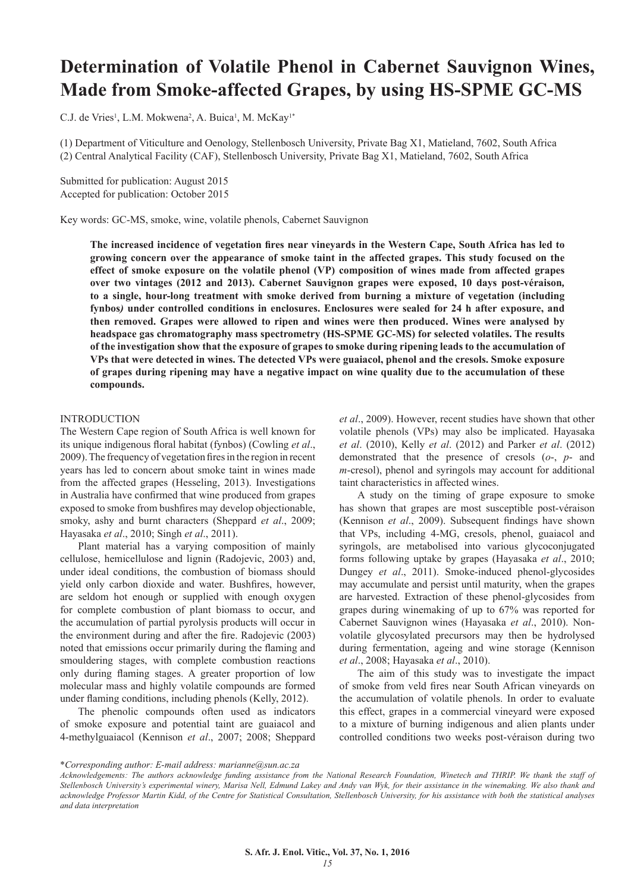# **Determination of Volatile Phenol in Cabernet Sauvignon Wines, Made from Smoke-affected Grapes, by using HS-SPME GC-MS**

C.J. de Vries<sup>1</sup>, L.M. Mokwena<sup>2</sup>, A. Buica<sup>1</sup>, M. McKay<sup>1\*</sup>

(1) Department of Viticulture and Oenology, Stellenbosch University, Private Bag X1, Matieland, 7602, South Africa (2) Central Analytical Facility (CAF), Stellenbosch University, Private Bag X1, Matieland, 7602, South Africa

Submitted for publication: August 2015 Accepted for publication: October 2015

Key words: GC-MS, smoke, wine, volatile phenols, Cabernet Sauvignon

**The increased incidence of vegetation fires near vineyards in the Western Cape, South Africa has led to growing concern over the appearance of smoke taint in the affected grapes. This study focused on the effect of smoke exposure on the volatile phenol (VP) composition of wines made from affected grapes over two vintages (2012 and 2013). Cabernet Sauvignon grapes were exposed, 10 days post-véraison***,* **to a single, hour-long treatment with smoke derived from burning a mixture of vegetation (including fynbos***)* **under controlled conditions in enclosures. Enclosures were sealed for 24 h after exposure, and then removed. Grapes were allowed to ripen and wines were then produced. Wines were analysed by headspace gas chromatography mass spectrometry (HS-SPME GC-MS) for selected volatiles. The results of the investigation show that the exposure of grapes to smoke during ripening leads to the accumulation of VPs that were detected in wines. The detected VPs were guaiacol, phenol and the cresols. Smoke exposure of grapes during ripening may have a negative impact on wine quality due to the accumulation of these compounds.**

### INTRODUCTION

The Western Cape region of South Africa is well known for its unique indigenous floral habitat (fynbos) (Cowling *et al*., 2009). The frequency of vegetation fires in the region in recent years has led to concern about smoke taint in wines made from the affected grapes (Hesseling, 2013). Investigations in Australia have confirmed that wine produced from grapes exposed to smoke from bushfires may develop objectionable, smoky, ashy and burnt characters (Sheppard *et al*., 2009; Hayasaka *et al*., 2010; Singh *et al*., 2011).

Plant material has a varying composition of mainly cellulose, hemicellulose and lignin (Radojevic, 2003) and, under ideal conditions, the combustion of biomass should yield only carbon dioxide and water. Bushfires, however, are seldom hot enough or supplied with enough oxygen for complete combustion of plant biomass to occur, and the accumulation of partial pyrolysis products will occur in the environment during and after the fire. Radojevic (2003) noted that emissions occur primarily during the flaming and smouldering stages, with complete combustion reactions only during flaming stages. A greater proportion of low molecular mass and highly volatile compounds are formed under flaming conditions, including phenols (Kelly, 2012).

The phenolic compounds often used as indicators of smoke exposure and potential taint are guaiacol and 4-methylguaiacol (Kennison *et al*., 2007; 2008; Sheppard *et al*., 2009). However, recent studies have shown that other volatile phenols (VPs) may also be implicated. Hayasaka *et al*. (2010), Kelly *et al*. (2012) and Parker *et al*. (2012) demonstrated that the presence of cresols (*o*-, *p*- and *m*-cresol), phenol and syringols may account for additional taint characteristics in affected wines.

A study on the timing of grape exposure to smoke has shown that grapes are most susceptible post-véraison (Kennison *et al*., 2009). Subsequent findings have shown that VPs, including 4-MG, cresols, phenol, guaiacol and syringols, are metabolised into various glycoconjugated forms following uptake by grapes (Hayasaka *et al*., 2010; Dungey *et al*., 2011). Smoke-induced phenol-glycosides may accumulate and persist until maturity, when the grapes are harvested. Extraction of these phenol-glycosides from grapes during winemaking of up to 67% was reported for Cabernet Sauvignon wines (Hayasaka *et al*., 2010). Nonvolatile glycosylated precursors may then be hydrolysed during fermentation, ageing and wine storage (Kennison *et al*., 2008; Hayasaka *et al*., 2010).

The aim of this study was to investigate the impact of smoke from veld fires near South African vineyards on the accumulation of volatile phenols. In order to evaluate this effect, grapes in a commercial vineyard were exposed to a mixture of burning indigenous and alien plants under controlled conditions two weeks post-véraison during two

<sup>\*</sup>*Corresponding author: E-mail address: marianne@sun.ac.za*

*Acknowledgements: The authors acknowledge funding assistance from the National Research Foundation, Winetech and THRIP. We thank the staff of Stellenbosch University's experimental winery, Marisa Nell, Edmund Lakey and Andy van Wyk, for their assistance in the winemaking. We also thank and acknowledge Professor Martin Kidd, of the Centre for Statistical Consultation, Stellenbosch University, for his assistance with both the statistical analyses and data interpretation*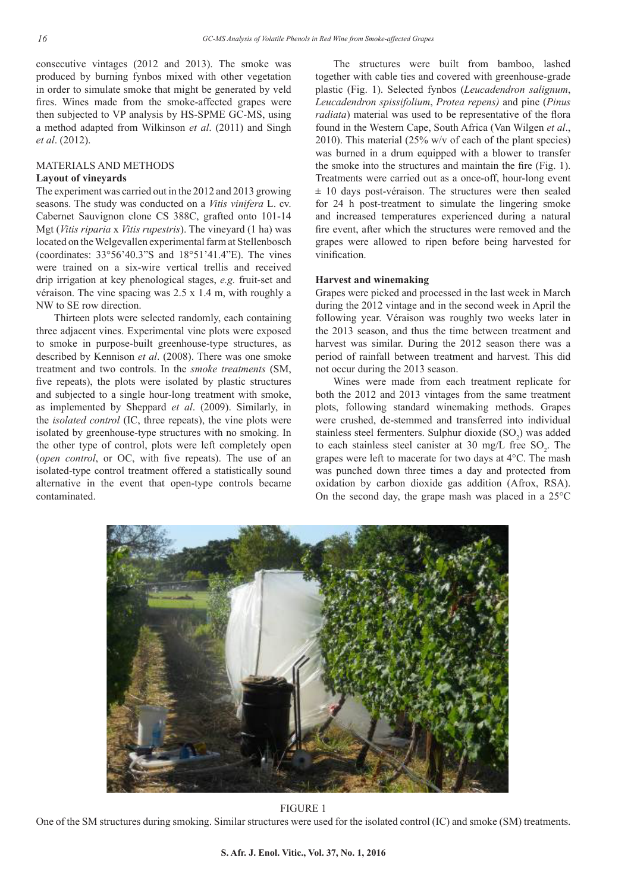consecutive vintages (2012 and 2013). The smoke was produced by burning fynbos mixed with other vegetation in order to simulate smoke that might be generated by veld fires. Wines made from the smoke-affected grapes were then subjected to VP analysis by HS-SPME GC-MS, using a method adapted from Wilkinson *et al*. (2011) and Singh *et al*. (2012).

# MATERIALS AND METHODS **Layout of vineyards**

The experiment was carried out in the 2012 and 2013 growing seasons. The study was conducted on a *Vitis vinifera* L. cv. Cabernet Sauvignon clone CS 388C, grafted onto 101-14 Mgt (*Vitis riparia* x *Vitis rupestris*). The vineyard (1 ha) was located on the Welgevallen experimental farm at Stellenbosch (coordinates: 33°56'40.3"S and 18°51'41.4"E). The vines were trained on a six-wire vertical trellis and received drip irrigation at key phenological stages, *e.g.* fruit-set and véraison. The vine spacing was 2.5 x 1.4 m, with roughly a NW to SE row direction.

Thirteen plots were selected randomly, each containing three adjacent vines. Experimental vine plots were exposed to smoke in purpose-built greenhouse-type structures, as described by Kennison *et al*. (2008). There was one smoke treatment and two controls. In the *smoke treatments* (SM, five repeats), the plots were isolated by plastic structures and subjected to a single hour-long treatment with smoke, as implemented by Sheppard *et al*. (2009). Similarly, in the *isolated control* (IC, three repeats), the vine plots were isolated by greenhouse-type structures with no smoking. In the other type of control, plots were left completely open (*open control*, or OC, with five repeats). The use of an isolated-type control treatment offered a statistically sound alternative in the event that open-type controls became contaminated.

The structures were built from bamboo, lashed together with cable ties and covered with greenhouse-grade plastic (Fig. 1). Selected fynbos (*Leucadendron salignum*, *Leucadendron spissifolium*, *Protea repens)* and pine (*Pinus radiata*) material was used to be representative of the flora found in the Western Cape, South Africa (Van Wilgen *et al*., 2010). This material (25% w/v of each of the plant species) was burned in a drum equipped with a blower to transfer the smoke into the structures and maintain the fire (Fig. 1). Treatments were carried out as a once-off, hour-long event  $±$  10 days post-véraison. The structures were then sealed for 24 h post-treatment to simulate the lingering smoke and increased temperatures experienced during a natural fire event, after which the structures were removed and the grapes were allowed to ripen before being harvested for vinification.

# **Harvest and winemaking**

Grapes were picked and processed in the last week in March during the 2012 vintage and in the second week in April the following year. Véraison was roughly two weeks later in the 2013 season, and thus the time between treatment and harvest was similar. During the 2012 season there was a period of rainfall between treatment and harvest. This did not occur during the 2013 season.

Wines were made from each treatment replicate for both the 2012 and 2013 vintages from the same treatment plots, following standard winemaking methods. Grapes were crushed, de-stemmed and transferred into individual stainless steel fermenters. Sulphur dioxide  $(SO_2)$  was added to each stainless steel canister at 30 mg/L free  $SO_2$ . The grapes were left to macerate for two days at 4°C. The mash was punched down three times a day and protected from oxidation by carbon dioxide gas addition (Afrox, RSA). On the second day, the grape mash was placed in a 25°C



## FIGURE 1

One of the SM structures during smoking. Similar structures were used for the isolated control (IC) and smoke (SM) treatments.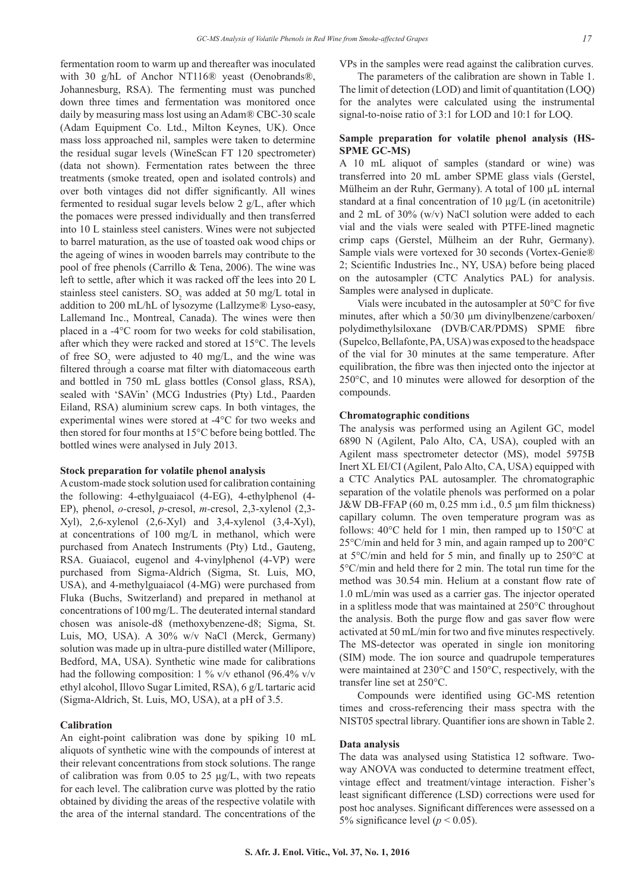fermentation room to warm up and thereafter was inoculated with 30 g/hL of Anchor NT116® yeast (Oenobrands®, Johannesburg, RSA). The fermenting must was punched down three times and fermentation was monitored once daily by measuring mass lost using an Adam® CBC-30 scale (Adam Equipment Co. Ltd., Milton Keynes, UK). Once mass loss approached nil, samples were taken to determine the residual sugar levels (WineScan FT 120 spectrometer) (data not shown). Fermentation rates between the three treatments (smoke treated, open and isolated controls) and over both vintages did not differ significantly. All wines fermented to residual sugar levels below 2 g/L, after which the pomaces were pressed individually and then transferred into 10 L stainless steel canisters. Wines were not subjected to barrel maturation, as the use of toasted oak wood chips or the ageing of wines in wooden barrels may contribute to the pool of free phenols (Carrillo & Tena, 2006). The wine was left to settle, after which it was racked off the lees into 20 L stainless steel canisters.  $SO_2$  was added at 50 mg/L total in addition to 200 mL/hL of lysozyme (Lallzyme® Lyso-easy, Lallemand Inc., Montreal, Canada). The wines were then placed in a -4°C room for two weeks for cold stabilisation, after which they were racked and stored at 15°C. The levels of free  $SO_2$  were adjusted to 40 mg/L, and the wine was filtered through a coarse mat filter with diatomaceous earth and bottled in 750 mL glass bottles (Consol glass, RSA), sealed with 'SAVin' (MCG Industries (Pty) Ltd., Paarden Eiland, RSA) aluminium screw caps. In both vintages, the experimental wines were stored at -4°C for two weeks and then stored for four months at 15°C before being bottled. The bottled wines were analysed in July 2013.

#### **Stock preparation for volatile phenol analysis**

A custom-made stock solution used for calibration containing the following: 4-ethylguaiacol (4-EG), 4-ethylphenol (4- EP), phenol, *o-*cresol, *p-*cresol, *m-*cresol, 2,3-xylenol (2,3- Xyl), 2,6-xylenol  $(2,6-Xyl)$  and 3,4-xylenol  $(3,4-Xyl)$ , at concentrations of 100 mg/L in methanol, which were purchased from Anatech Instruments (Pty) Ltd., Gauteng, RSA. Guaiacol, eugenol and 4-vinylphenol (4-VP) were purchased from Sigma-Aldrich (Sigma, St. Luis, MO, USA), and 4-methylguaiacol (4-MG) were purchased from Fluka (Buchs, Switzerland) and prepared in methanol at concentrations of 100 mg/L. The deuterated internal standard chosen was anisole-d8 (methoxybenzene-d8; Sigma, St. Luis, MO, USA). A 30% w/v NaCl (Merck, Germany) solution was made up in ultra-pure distilled water (Millipore, Bedford, MA, USA). Synthetic wine made for calibrations had the following composition:  $1\%$  v/v ethanol (96.4% v/v ethyl alcohol, Illovo Sugar Limited, RSA), 6 g/L tartaric acid (Sigma-Aldrich, St. Luis, MO, USA), at a pH of 3.5.

# **Calibration**

An eight-point calibration was done by spiking 10 mL aliquots of synthetic wine with the compounds of interest at their relevant concentrations from stock solutions. The range of calibration was from 0.05 to 25 µg/L, with two repeats for each level. The calibration curve was plotted by the ratio obtained by dividing the areas of the respective volatile with the area of the internal standard. The concentrations of the

VPs in the samples were read against the calibration curves.

The parameters of the calibration are shown in Table 1. The limit of detection (LOD) and limit of quantitation (LOQ) for the analytes were calculated using the instrumental signal-to-noise ratio of 3:1 for LOD and 10:1 for LOQ.

# **Sample preparation for volatile phenol analysis (HS-SPME GC-MS)**

A 10 mL aliquot of samples (standard or wine) was transferred into 20 mL amber SPME glass vials (Gerstel, Mülheim an der Ruhr, Germany). A total of 100 µL internal standard at a final concentration of 10  $\mu$ g/L (in acetonitrile) and 2 mL of 30% (w/v) NaCl solution were added to each vial and the vials were sealed with PTFE-lined magnetic crimp caps (Gerstel, Mülheim an der Ruhr, Germany). Sample vials were vortexed for 30 seconds (Vortex-Genie® 2; Scientific Industries Inc., NY, USA) before being placed on the autosampler (CTC Analytics PAL) for analysis. Samples were analysed in duplicate.

Vials were incubated in the autosampler at 50°C for five minutes, after which a 50/30 μm divinylbenzene/carboxen/ polydimethylsiloxane (DVB/CAR/PDMS) SPME fibre (Supelco, Bellafonte, PA, USA) was exposed to the headspace of the vial for 30 minutes at the same temperature. After equilibration, the fibre was then injected onto the injector at 250°C, and 10 minutes were allowed for desorption of the compounds.

## **Chromatographic conditions**

The analysis was performed using an Agilent GC, model 6890 N (Agilent, Palo Alto, CA, USA), coupled with an Agilent mass spectrometer detector (MS), model 5975B Inert XL EI/CI (Agilent, Palo Alto, CA, USA) equipped with a CTC Analytics PAL autosampler. The chromatographic separation of the volatile phenols was performed on a polar J&W DB-FFAP (60 m, 0.25 mm i.d., 0.5 µm film thickness) capillary column. The oven temperature program was as follows: 40°C held for 1 min, then ramped up to 150°C at 25°C/min and held for 3 min, and again ramped up to 200°C at 5°C/min and held for 5 min, and finally up to 250°C at 5°C/min and held there for 2 min. The total run time for the method was 30.54 min. Helium at a constant flow rate of 1.0 mL/min was used as a carrier gas. The injector operated in a splitless mode that was maintained at 250°C throughout the analysis. Both the purge flow and gas saver flow were activated at 50 mL/min for two and five minutes respectively. The MS-detector was operated in single ion monitoring (SIM) mode. The ion source and quadrupole temperatures were maintained at 230°C and 150°C, respectively, with the transfer line set at 250°C.

Compounds were identified using GC-MS retention times and cross-referencing their mass spectra with the NIST05 spectral library. Quantifier ions are shown in Table 2.

#### **Data analysis**

The data was analysed using Statistica 12 software. Twoway ANOVA was conducted to determine treatment effect, vintage effect and treatment/vintage interaction. Fisher's least significant difference (LSD) corrections were used for post hoc analyses. Significant differences were assessed on a 5% significance level  $(p < 0.05)$ .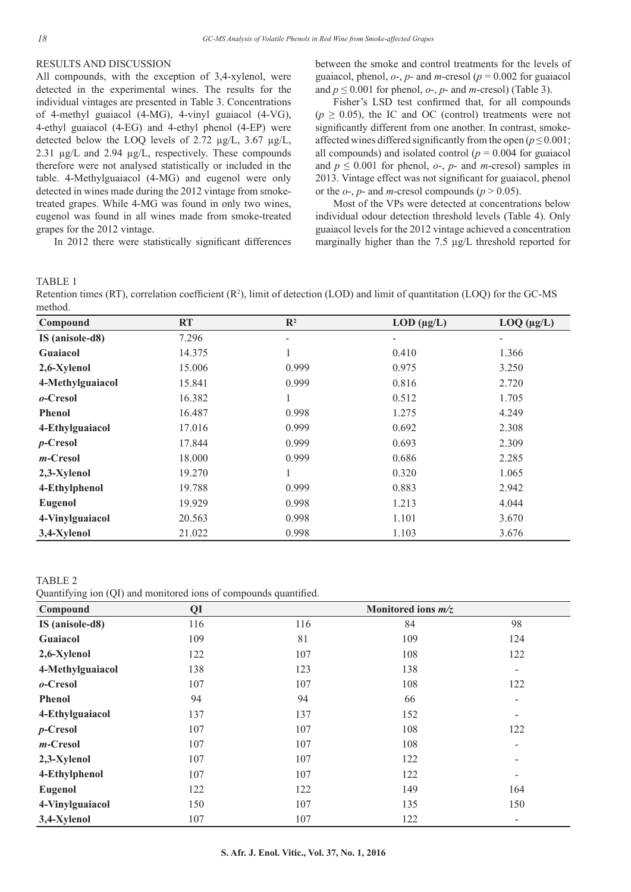# RESULTS AND DISCUSSION

All compounds, with the exception of 3,4-xylenol, were detected in the experimental wines. The results for the individual vintages are presented in Table 3. Concentrations of 4-methyl guaiacol (4-MG), 4-vinyl guaiacol (4-VG), 4-ethyl guaiacol (4-EG) and 4-ethyl phenol (4-EP) were detected below the LOQ levels of 2.72 µg/L, 3.67 µg/L, 2.31  $\mu$ g/L and 2.94  $\mu$ g/L, respectively. These compounds therefore were not analysed statistically or included in the table. 4-Methylguaiacol (4-MG) and eugenol were only detected in wines made during the 2012 vintage from smoketreated grapes. While 4-MG was found in only two wines, eugenol was found in all wines made from smoke-treated grapes for the 2012 vintage.

In 2012 there were statistically significant differences

between the smoke and control treatments for the levels of guaiacol, phenol,  $o$ -,  $p$ - and  $m$ -cresol ( $p = 0.002$  for guaiacol and  $p \le 0.001$  for phenol,  $o$ -,  $p$ - and  $m$ -cresol) (Table 3).

Fisher's LSD test confirmed that, for all compounds  $(p \ge 0.05)$ , the IC and OC (control) treatments were not significantly different from one another. In contrast, smokeaffected wines differed significantly from the open ( $p \le 0.001$ ; all compounds) and isolated control  $(p = 0.004$  for guaiacol and  $p \leq 0.001$  for phenol,  $o$ -,  $p$ - and *m*-cresol) samples in 2013. Vintage effect was not significant for guaiacol, phenol or the  $o$ -,  $p$ - and  $m$ -cresol compounds ( $p > 0.05$ ).

Most of the VPs were detected at concentrations below individual odour detection threshold levels (Table 4). Only guaiacol levels for the 2012 vintage achieved a concentration marginally higher than the 7.5 µg/L threshold reported for

TABLE 1

Retention times (RT), correlation coefficient  $(R^2)$ , limit of detection (LOD) and limit of quantitation (LOQ) for the GC-MS method.

| Compound         | <b>RT</b> | $\mathbb{R}^2$ | $LOD$ ( $\mu$ g/L)       | $LOQ$ ( $\mu$ g/L) |
|------------------|-----------|----------------|--------------------------|--------------------|
| IS (anisole-d8)  | 7.296     | ۰              | $\overline{\phantom{a}}$ | -                  |
| Guaiacol         | 14.375    |                | 0.410                    | 1.366              |
| 2,6-Xylenol      | 15.006    | 0.999          | 0.975                    | 3.250              |
| 4-Methylguaiacol | 15.841    | 0.999          | 0.816                    | 2.720              |
| $o$ -Cresol      | 16.382    |                | 0.512                    | 1.705              |
| <b>Phenol</b>    | 16.487    | 0.998          | 1.275                    | 4.249              |
| 4-Ethylguaiacol  | 17.016    | 0.999          | 0.692                    | 2.308              |
| $p$ -Cresol      | 17.844    | 0.999          | 0.693                    | 2.309              |
| $m$ -Cresol      | 18.000    | 0.999          | 0.686                    | 2.285              |
| 2,3-Xylenol      | 19.270    |                | 0.320                    | 1.065              |
| 4-Ethylphenol    | 19.788    | 0.999          | 0.883                    | 2.942              |
| <b>Eugenol</b>   | 19.929    | 0.998          | 1.213                    | 4.044              |
| 4-Vinylguaiacol  | 20.563    | 0.998          | 1.101                    | 3.670              |
| 3,4-Xylenol      | 21.022    | 0.998          | 1.103                    | 3.676              |

TABLE 2

Quantifying ion (QI) and monitored ions of compounds quantified.

| Compound         | QI  | Monitored ions $m/z$ |     |                          |  |  |
|------------------|-----|----------------------|-----|--------------------------|--|--|
| IS (anisole-d8)  | 116 | 116                  | 84  | 98                       |  |  |
| Guaiacol         | 109 | 81                   | 109 | 124                      |  |  |
| 2,6-Xylenol      | 122 | 107                  | 108 | 122                      |  |  |
| 4-Methylguaiacol | 138 | 123                  | 138 | $\overline{\phantom{a}}$ |  |  |
| $o$ -Cresol      | 107 | 107                  | 108 | 122                      |  |  |
| <b>Phenol</b>    | 94  | 94                   | 66  | $\overline{\phantom{a}}$ |  |  |
| 4-Ethylguaiacol  | 137 | 137                  | 152 | $\overline{\phantom{a}}$ |  |  |
| $p$ -Cresol      | 107 | 107                  | 108 | 122                      |  |  |
| $m$ -Cresol      | 107 | 107                  | 108 | $\overline{\phantom{a}}$ |  |  |
| 2,3-Xylenol      | 107 | 107                  | 122 | $\overline{\phantom{a}}$ |  |  |
| 4-Ethylphenol    | 107 | 107                  | 122 | $\overline{\phantom{a}}$ |  |  |
| <b>Eugenol</b>   | 122 | 122                  | 149 | 164                      |  |  |
| 4-Vinylguaiacol  | 150 | 107                  | 135 | 150                      |  |  |
| 3,4-Xylenol      | 107 | 107                  | 122 | ۰                        |  |  |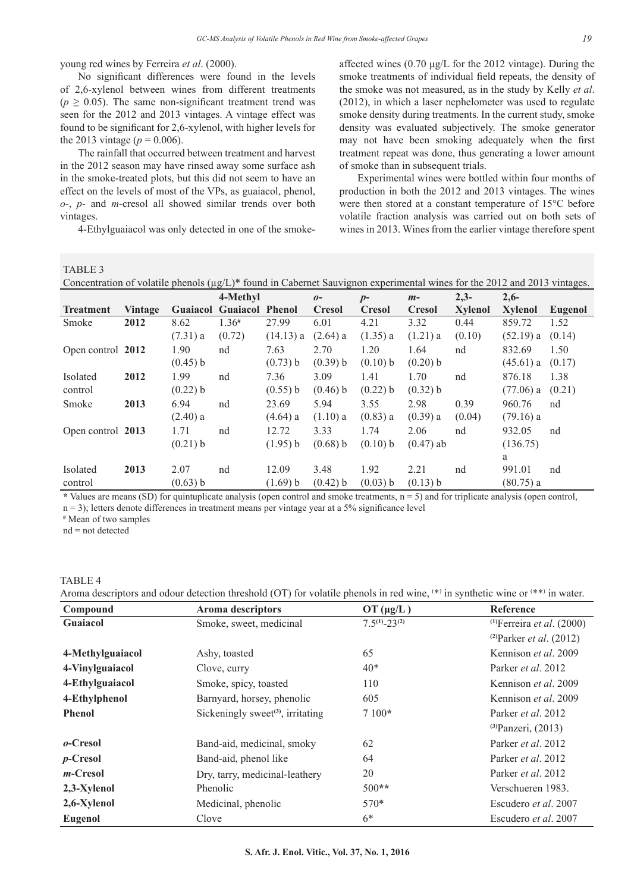young red wines by Ferreira *et al*. (2000).

No significant differences were found in the levels of 2,6-xylenol between wines from different treatments  $(p \ge 0.05)$ . The same non-significant treatment trend was seen for the 2012 and 2013 vintages. A vintage effect was found to be significant for 2,6-xylenol, with higher levels for the 2013 vintage ( $p = 0.006$ ).

The rainfall that occurred between treatment and harvest in the 2012 season may have rinsed away some surface ash in the smoke-treated plots, but this did not seem to have an effect on the levels of most of the VPs, as guaiacol, phenol, *o*-, *p*- and *m*-cresol all showed similar trends over both vintages.

4-Ethylguaiacol was only detected in one of the smoke-

affected wines (0.70 μg/L for the 2012 vintage). During the smoke treatments of individual field repeats, the density of the smoke was not measured, as in the study by Kelly *et al*. (2012), in which a laser nephelometer was used to regulate smoke density during treatments. In the current study, smoke density was evaluated subjectively. The smoke generator may not have been smoking adequately when the first treatment repeat was done, thus generating a lower amount of smoke than in subsequent trials.

Experimental wines were bottled within four months of production in both the 2012 and 2013 vintages. The wines were then stored at a constant temperature of 15°C before volatile fraction analysis was carried out on both sets of wines in 2013. Wines from the earlier vintage therefore spent

TABLE 3

Concentration of volatile phenols ( $\mu$ g/L)\* found in Cabernet Sauvignon experimental wines for the 2012 and 2013 vintages.

|                   |                |                 | 4-Methyl        |               | $\boldsymbol{o}$ - | $p-$          | $m-$          | $2,3-$         | $2,6-$      |         |
|-------------------|----------------|-----------------|-----------------|---------------|--------------------|---------------|---------------|----------------|-------------|---------|
| <b>Treatment</b>  | <b>Vintage</b> | <b>Guaiacol</b> | <b>Guaiacol</b> | <b>Phenol</b> | <b>Cresol</b>      | <b>Cresol</b> | <b>Cresol</b> | <b>Xylenol</b> | Xylenol     | Eugenol |
| Smoke             | 2012           | 8.62            | $1.36^{*}$      | 27.99         | 6.01               | 4.21          | 3.32          | 0.44           | 859.72      | 1.52    |
|                   |                | (7.31) a        | (0.72)          | $(14.13)$ a   | $(2.64)$ a         | $(1.35)$ a    | $(1.21)$ a    | (0.10)         | (52.19) a   | (0.14)  |
| Open control 2012 |                | 1.90            | nd              | 7.63          | 2.70               | 1.20          | 1.64          | nd             | 832.69      | 1.50    |
|                   |                | (0.45) b        |                 | (0.73) b      | (0.39) b           | (0.10) b      | (0.20) b      |                | (45.61) a   | (0.17)  |
| Isolated          | 2012           | 1.99            | nd              | 7.36          | 3.09               | 1.41          | 1.70          | nd             | 876.18      | 1.38    |
| control           |                | (0.22) b        |                 | (0.55) b      | (0.46) b           | (0.22) b      | (0.32) b      |                | $(77.06)$ a | (0.21)  |
| Smoke             | 2013           | 6.94            | nd              | 23.69         | 5.94               | 3.55          | 2.98          | 0.39           | 960.76      | nd      |
|                   |                | $(2.40)$ a      |                 | $(4.64)$ a    | $(1.10)$ a         | (0.83) a      | (0.39) a      | (0.04)         | $(79.16)$ a |         |
| Open control 2013 |                | 1.71            | nd              | 12.72         | 3.33               | 1.74          | 2.06          | nd             | 932.05      | nd      |
|                   |                | (0.21) b        |                 | (1.95) b      | (0.68) b           | (0.10) b      | $(0.47)$ ab   |                | (136.75)    |         |
|                   |                |                 |                 |               |                    |               |               |                | a           |         |
| Isolated          | 2013           | 2.07            | nd              | 12.09         | 3.48               | 1.92          | 2.21          | nd             | 991.01      | nd      |
| control           |                | (0.63) b        |                 | (1.69) b      | (0.42) b           | (0.03) b      | (0.13) b      |                | (80.75) a   |         |

 $*$  Values are means (SD) for quintuplicate analysis (open control and smoke treatments,  $n = 5$ ) and for triplicate analysis (open control, n = 3); letters denote differences in treatment means per vintage year at a 5% significance level

**#** Mean of two samples

nd = not detected

#### TABLE 4

Aroma descriptors and odour detection threshold (OT) for volatile phenols in red wine, (\*) in synthetic wine or (\*\*) in water.

| Compound         | Aroma descriptors                    | OT $(\mu g/L)$         | Reference                                         |
|------------------|--------------------------------------|------------------------|---------------------------------------------------|
| Guaiacol         | Smoke, sweet, medicinal              | $7.5^{(1)} - 23^{(2)}$ | <sup>(1)</sup> Ferreira <i>et al.</i> (2000)      |
|                  |                                      |                        | (2012) <sup>(2)</sup> Parker <i>et al.</i> (2012) |
| 4-Methylguaiacol | Ashy, toasted                        | 65                     | Kennison et al. 2009                              |
| 4-Vinylguaiacol  | Clove, curry                         | $40*$                  | Parker <i>et al.</i> 2012                         |
| 4-Ethylguaiacol  | Smoke, spicy, toasted                | 110                    | Kennison et al. 2009                              |
| 4-Ethylphenol    | Barnyard, horsey, phenolic           | 605                    | Kennison <i>et al.</i> 2009                       |
| <b>Phenol</b>    | Sickeningly sweet $(3)$ , irritating | $7100*$                | Parker <i>et al.</i> 2012                         |
|                  |                                      |                        | $^{(3)}$ Panzeri, (2013)                          |
| $o$ -Cresol      | Band-aid, medicinal, smoky           | 62                     | Parker <i>et al.</i> 2012                         |
| $p$ -Cresol      | Band-aid, phenol like                | 64                     | Parker <i>et al.</i> 2012                         |
| $m$ -Cresol      | Dry, tarry, medicinal-leathery       | 20                     | Parker <i>et al.</i> 2012                         |
| 2,3-Xylenol      | Phenolic                             | $500**$                | Verschueren 1983.                                 |
| 2,6-Xylenol      | Medicinal, phenolic                  | $570*$                 | Escudero <i>et al.</i> 2007                       |
| Eugenol          | Clove                                | $6*$                   | Escudero et al. 2007                              |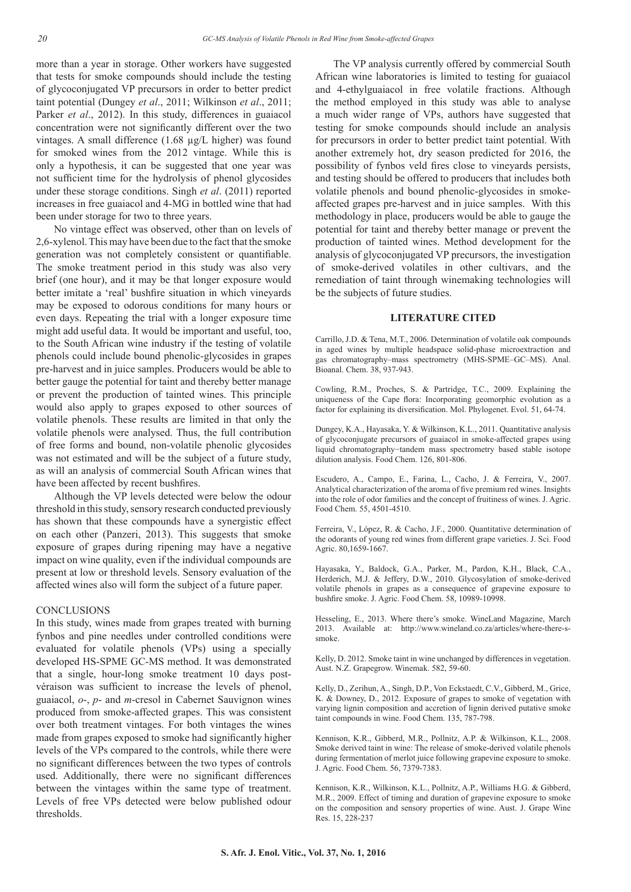more than a year in storage. Other workers have suggested that tests for smoke compounds should include the testing of glycoconjugated VP precursors in order to better predict taint potential (Dungey *et al*., 2011; Wilkinson *et al*., 2011; Parker *et al*., 2012). In this study, differences in guaiacol concentration were not significantly different over the two vintages. A small difference (1.68 µg/L higher) was found for smoked wines from the 2012 vintage. While this is only a hypothesis, it can be suggested that one year was not sufficient time for the hydrolysis of phenol glycosides under these storage conditions. Singh *et al*. (2011) reported increases in free guaiacol and 4-MG in bottled wine that had been under storage for two to three years.

No vintage effect was observed, other than on levels of 2,6-xylenol. This may have been due to the fact that the smoke generation was not completely consistent or quantifiable. The smoke treatment period in this study was also very brief (one hour), and it may be that longer exposure would better imitate a 'real' bushfire situation in which vineyards may be exposed to odorous conditions for many hours or even days. Repeating the trial with a longer exposure time might add useful data. It would be important and useful, too, to the South African wine industry if the testing of volatile phenols could include bound phenolic-glycosides in grapes pre-harvest and in juice samples. Producers would be able to better gauge the potential for taint and thereby better manage or prevent the production of tainted wines. This principle would also apply to grapes exposed to other sources of volatile phenols. These results are limited in that only the volatile phenols were analysed. Thus, the full contribution of free forms and bound, non-volatile phenolic glycosides was not estimated and will be the subject of a future study, as will an analysis of commercial South African wines that have been affected by recent bushfires.

Although the VP levels detected were below the odour threshold in this study, sensory research conducted previously has shown that these compounds have a synergistic effect on each other (Panzeri, 2013). This suggests that smoke exposure of grapes during ripening may have a negative impact on wine quality, even if the individual compounds are present at low or threshold levels. Sensory evaluation of the affected wines also will form the subject of a future paper.

#### **CONCLUSIONS**

In this study, wines made from grapes treated with burning fynbos and pine needles under controlled conditions were evaluated for volatile phenols (VPs) using a specially developed HS-SPME GC-MS method. It was demonstrated that a single, hour-long smoke treatment 10 days postvéraison was sufficient to increase the levels of phenol, guaiacol, *o*-, *p*- and *m*-cresol in Cabernet Sauvignon wines produced from smoke-affected grapes. This was consistent over both treatment vintages. For both vintages the wines made from grapes exposed to smoke had significantly higher levels of the VPs compared to the controls, while there were no significant differences between the two types of controls used. Additionally, there were no significant differences between the vintages within the same type of treatment. Levels of free VPs detected were below published odour thresholds.

The VP analysis currently offered by commercial South African wine laboratories is limited to testing for guaiacol and 4-ethylguaiacol in free volatile fractions. Although the method employed in this study was able to analyse a much wider range of VPs, authors have suggested that testing for smoke compounds should include an analysis for precursors in order to better predict taint potential. With another extremely hot, dry season predicted for 2016, the possibility of fynbos veld fires close to vineyards persists, and testing should be offered to producers that includes both volatile phenols and bound phenolic-glycosides in smokeaffected grapes pre-harvest and in juice samples. With this methodology in place, producers would be able to gauge the potential for taint and thereby better manage or prevent the production of tainted wines. Method development for the analysis of glycoconjugated VP precursors, the investigation of smoke-derived volatiles in other cultivars, and the remediation of taint through winemaking technologies will be the subjects of future studies.

## **LITERATURE CITED**

Carrillo, J.D. & Tena, M.T., 2006. Determination of volatile oak compounds in aged wines by multiple headspace solid-phase microextraction and gas chromatography–mass spectrometry (MHS-SPME–GC–MS). Anal. Bioanal. Chem. 38, 937-943.

Cowling, R.M., Proches, S. & Partridge, T.C., 2009. Explaining the uniqueness of the Cape flora: Incorporating geomorphic evolution as a factor for explaining its diversification. Mol. Phylogenet. Evol. 51, 64-74.

Dungey, K.A., Hayasaka, Y. & Wilkinson, K.L., 2011. Quantitative analysis of glycoconjugate precursors of guaiacol in smoke-affected grapes using liquid chromatography−tandem mass spectrometry based stable isotope dilution analysis. Food Chem. 126, 801-806.

Escudero, A., Campo, E., Farina, L., Cacho, J. & Ferreira, V., 2007. Analytical characterization of the aroma of five premium red wines. Insights into the role of odor families and the concept of fruitiness of wines. J. Agric. Food Chem. 55, 4501-4510.

Ferreira, V., López, R. & Cacho, J.F., 2000. Quantitative determination of the odorants of young red wines from different grape varieties. J. Sci. Food Agric. 80,1659-1667.

Hayasaka, Y., Baldock, G.A., Parker, M., Pardon, K.H., Black, C.A., Herderich, M.J. & Jeffery, D.W., 2010. Glycosylation of smoke-derived volatile phenols in grapes as a consequence of grapevine exposure to bushfire smoke. J. Agric. Food Chem. 58, 10989-10998.

Hesseling, E., 2013. Where there's smoke. WineLand Magazine, March 2013. Available at: http://www.wineland.co.za/articles/where-there-ssmoke.

Kelly, D. 2012. Smoke taint in wine unchanged by differences in vegetation. Aust. N.Z. Grapegrow. Winemak. 582, 59-60.

Kelly, D., Zerihun, A., Singh, D.P., Von Eckstaedt, C.V., Gibberd, M., Grice, K. & Downey, D., 2012. Exposure of grapes to smoke of vegetation with varying lignin composition and accretion of lignin derived putative smoke taint compounds in wine. Food Chem. 135, 787-798.

Kennison, K.R., Gibberd, M.R., Pollnitz, A.P. & Wilkinson, K.L., 2008. Smoke derived taint in wine: The release of smoke-derived volatile phenols during fermentation of merlot juice following grapevine exposure to smoke. J. Agric. Food Chem. 56, 7379-7383.

Kennison, K.R., Wilkinson, K.L., Pollnitz, A.P., Williams H.G. & Gibberd, M.R., 2009. Effect of timing and duration of grapevine exposure to smoke on the composition and sensory properties of wine. Aust. J. Grape Wine Res. 15, 228-237